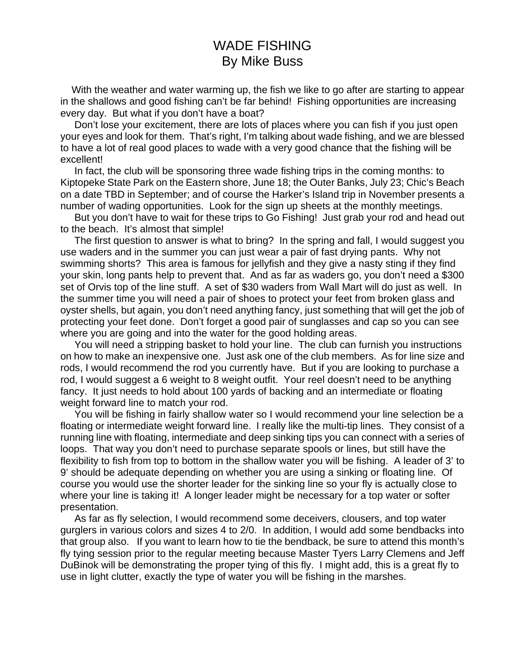## WADE FISHING By Mike Buss

 With the weather and water warming up, the fish we like to go after are starting to appear in the shallows and good fishing can't be far behind! Fishing opportunities are increasing every day. But what if you don't have a boat?

 Don't lose your excitement, there are lots of places where you can fish if you just open your eyes and look for them. That's right, I'm talking about wade fishing, and we are blessed to have a lot of real good places to wade with a very good chance that the fishing will be excellent!

 In fact, the club will be sponsoring three wade fishing trips in the coming months: to Kiptopeke State Park on the Eastern shore, June 18; the Outer Banks, July 23; Chic's Beach on a date TBD in September; and of course the Harker's Island trip in November presents a number of wading opportunities. Look for the sign up sheets at the monthly meetings.

 But you don't have to wait for these trips to Go Fishing! Just grab your rod and head out to the beach. It's almost that simple!

 The first question to answer is what to bring? In the spring and fall, I would suggest you use waders and in the summer you can just wear a pair of fast drying pants. Why not swimming shorts? This area is famous for jellyfish and they give a nasty sting if they find your skin, long pants help to prevent that. And as far as waders go, you don't need a \$300 set of Orvis top of the line stuff. A set of \$30 waders from Wall Mart will do just as well. In the summer time you will need a pair of shoes to protect your feet from broken glass and oyster shells, but again, you don't need anything fancy, just something that will get the job of protecting your feet done. Don't forget a good pair of sunglasses and cap so you can see where you are going and into the water for the good holding areas.

 You will need a stripping basket to hold your line. The club can furnish you instructions on how to make an inexpensive one. Just ask one of the club members. As for line size and rods, I would recommend the rod you currently have. But if you are looking to purchase a rod, I would suggest a 6 weight to 8 weight outfit. Your reel doesn't need to be anything fancy. It just needs to hold about 100 yards of backing and an intermediate or floating weight forward line to match your rod.

 You will be fishing in fairly shallow water so I would recommend your line selection be a floating or intermediate weight forward line. I really like the multi-tip lines. They consist of a running line with floating, intermediate and deep sinking tips you can connect with a series of loops. That way you don't need to purchase separate spools or lines, but still have the flexibility to fish from top to bottom in the shallow water you will be fishing. A leader of 3' to 9' should be adequate depending on whether you are using a sinking or floating line. Of course you would use the shorter leader for the sinking line so your fly is actually close to where your line is taking it! A longer leader might be necessary for a top water or softer presentation.

 As far as fly selection, I would recommend some deceivers, clousers, and top water gurglers in various colors and sizes 4 to 2/0. In addition, I would add some bendbacks into that group also. If you want to learn how to tie the bendback, be sure to attend this month's fly tying session prior to the regular meeting because Master Tyers Larry Clemens and Jeff DuBinok will be demonstrating the proper tying of this fly. I might add, this is a great fly to use in light clutter, exactly the type of water you will be fishing in the marshes.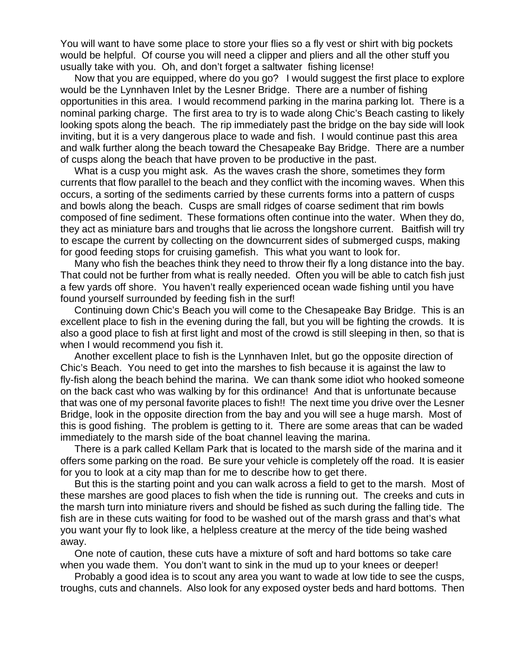You will want to have some place to store your flies so a fly vest or shirt with big pockets would be helpful. Of course you will need a clipper and pliers and all the other stuff you usually take with you. Oh, and don't forget a saltwater fishing license!

 Now that you are equipped, where do you go? I would suggest the first place to explore would be the Lynnhaven Inlet by the Lesner Bridge. There are a number of fishing opportunities in this area. I would recommend parking in the marina parking lot. There is a nominal parking charge. The first area to try is to wade along Chic's Beach casting to likely looking spots along the beach. The rip immediately past the bridge on the bay side will look inviting, but it is a very dangerous place to wade and fish. I would continue past this area and walk further along the beach toward the Chesapeake Bay Bridge. There are a number of cusps along the beach that have proven to be productive in the past.

 What is a cusp you might ask. As the waves crash the shore, sometimes they form currents that flow parallel to the beach and they conflict with the incoming waves. When this occurs, a sorting of the sediments carried by these currents forms into a pattern of cusps and bowls along the beach. Cusps are small ridges of coarse sediment that rim bowls composed of fine sediment. These formations often continue into the water. When they do, they act as miniature bars and troughs that lie across the longshore current. Baitfish will try to escape the current by collecting on the downcurrent sides of submerged cusps, making for good feeding stops for cruising gamefish. This what you want to look for.

 Many who fish the beaches think they need to throw their fly a long distance into the bay. That could not be further from what is really needed. Often you will be able to catch fish just a few yards off shore. You haven't really experienced ocean wade fishing until you have found yourself surrounded by feeding fish in the surf!

 Continuing down Chic's Beach you will come to the Chesapeake Bay Bridge. This is an excellent place to fish in the evening during the fall, but you will be fighting the crowds. It is also a good place to fish at first light and most of the crowd is still sleeping in then, so that is when I would recommend you fish it.

 Another excellent place to fish is the Lynnhaven Inlet, but go the opposite direction of Chic's Beach. You need to get into the marshes to fish because it is against the law to fly-fish along the beach behind the marina. We can thank some idiot who hooked someone on the back cast who was walking by for this ordinance! And that is unfortunate because that was one of my personal favorite places to fish!! The next time you drive over the Lesner Bridge, look in the opposite direction from the bay and you will see a huge marsh. Most of this is good fishing. The problem is getting to it. There are some areas that can be waded immediately to the marsh side of the boat channel leaving the marina.

 There is a park called Kellam Park that is located to the marsh side of the marina and it offers some parking on the road. Be sure your vehicle is completely off the road. It is easier for you to look at a city map than for me to describe how to get there.

 But this is the starting point and you can walk across a field to get to the marsh. Most of these marshes are good places to fish when the tide is running out. The creeks and cuts in the marsh turn into miniature rivers and should be fished as such during the falling tide. The fish are in these cuts waiting for food to be washed out of the marsh grass and that's what you want your fly to look like, a helpless creature at the mercy of the tide being washed away.

 One note of caution, these cuts have a mixture of soft and hard bottoms so take care when you wade them. You don't want to sink in the mud up to your knees or deeper!

 Probably a good idea is to scout any area you want to wade at low tide to see the cusps, troughs, cuts and channels. Also look for any exposed oyster beds and hard bottoms. Then